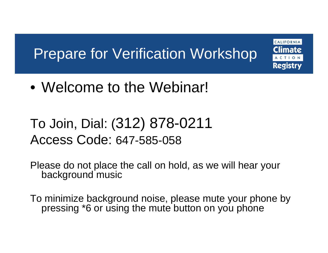## Prepare for Verification Workshop

CALIFORNIA Climate

Registry

• Welcome to the Webinar!

To Join, Dial: (312) 878-0211 Access Code: 647-585-058

Please do not place the call on hold, as we will hear your background music

To minimize background noise, please mute your phone by pressing \*6 or using the mute button on you phone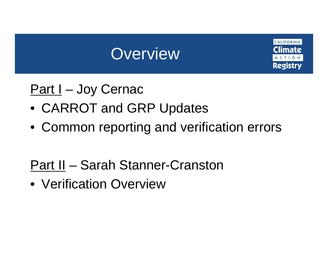## **Overview**

CALIFORNIA :limate Registry

#### Part I – Joy Cernac

- CARROT and GRP Updates
- Common reporting and verification errors

#### Part II – Sarah Stanner-Cranston

• Verification Overview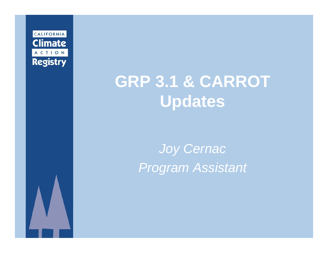

## **GRP 3.1 & CARROT Updates**

*Joy Cernac Program Assistant*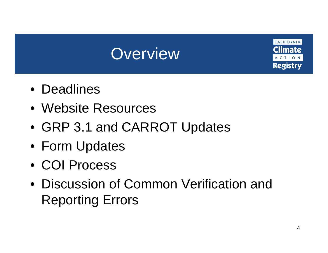## **Overview**

CALIFORNIA :limate Registry

- Deadlines
- Website Resources
- GRP 3.1 and CARROT Updates
- Form Updates
- COI Process
- Discussion of Common Verification and Reporting Errors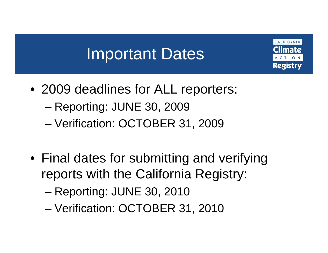## Important Dates

CALIFORNIA

mate

- 2009 deadlines for ALL reporters: Reporting: JUNE 30, 2009
	- Verification: OCTOBER 31, 2009
- Final dates for submitting and verifying reports with the California Registry:
	- Reporting: JUNE 30, 2010
	- Verification: OCTOBER 31, 2010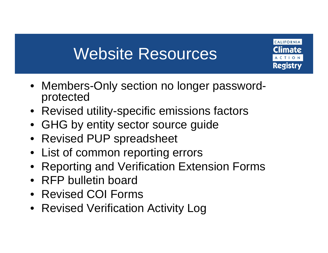## Website Resources

CALIFORNIA :limate Registry

- Members-Only section no longer passwordprotected
- Revised utility-specific emissions factors
- GHG by entity sector source guide
- Revised PUP spreadsheet
- List of common reporting errors
- Reporting and Verification Extension Forms
- RFP bulletin board
- Revised COI Forms
- Revised Verification Activity Log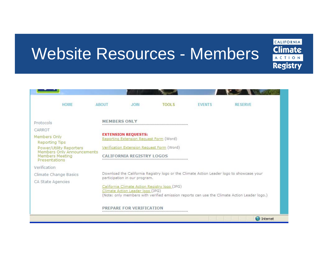# Website Resources - Members

CALIFORNIA **Climate** ACTION **Registry** 

| <b>HOME</b>                                                                                    | <b>ABOUT</b>                                                                                                        | JQIN                                                                                                                                                                             | <b>TOOLS</b> | <b>EVENTS</b> | <b>RESERVE</b>    |  |
|------------------------------------------------------------------------------------------------|---------------------------------------------------------------------------------------------------------------------|----------------------------------------------------------------------------------------------------------------------------------------------------------------------------------|--------------|---------------|-------------------|--|
| Protocols<br>CARROT                                                                            |                                                                                                                     | <b>MEMBERS ONLY</b>                                                                                                                                                              |              |               |                   |  |
| Members Only<br><b>Reporting Tips</b><br>Power/Utility Reporters<br>Members Only Announcements | <b>EXTENSION REQUESTS:</b><br>Reporting Extension Request Form (Word)<br>Verification Extension Request Form (Word) |                                                                                                                                                                                  |              |               |                   |  |
| <b>Members Meeting</b><br>Presentations<br>Verification                                        |                                                                                                                     | CALIFORNIA REGISTRY LOGOS                                                                                                                                                        |              |               |                   |  |
| Climate Change Basics                                                                          |                                                                                                                     | Download the California Registry logo or the Climate Action Leader logo to showcase your<br>participation in our program.                                                        |              |               |                   |  |
| CA State Agencies                                                                              |                                                                                                                     | California Climate Action Registry logo (JPG)<br>Climate Action Leader logo (JPG)<br>(Note: only members with verified emission reports can use the Climate Action Leader logo.) |              |               |                   |  |
|                                                                                                |                                                                                                                     | PREPARE FOR VERT                                                                                                                                                                 |              |               |                   |  |
|                                                                                                |                                                                                                                     |                                                                                                                                                                                  |              |               | <b>D</b> Internet |  |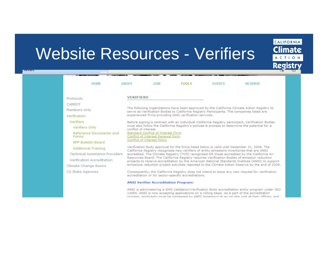### Website Resources - Verifiers

| <b>HOME</b>                      | <b>ABOUT</b>                                                                                      | <b>JOIN</b>                                                                                                                                                                                                                                                                              | <b>TOOLS</b>                                         | <b>EVENTS</b>                                                                               | <b>RESERVE</b>                                                                                  |  |
|----------------------------------|---------------------------------------------------------------------------------------------------|------------------------------------------------------------------------------------------------------------------------------------------------------------------------------------------------------------------------------------------------------------------------------------------|------------------------------------------------------|---------------------------------------------------------------------------------------------|-------------------------------------------------------------------------------------------------|--|
| Protocols                        | <b>VERTETERS</b>                                                                                  |                                                                                                                                                                                                                                                                                          |                                                      |                                                                                             |                                                                                                 |  |
| CARROT                           |                                                                                                   |                                                                                                                                                                                                                                                                                          |                                                      |                                                                                             |                                                                                                 |  |
| Members Only                     |                                                                                                   |                                                                                                                                                                                                                                                                                          |                                                      | The following organizations have been approved by the California Climate Action Registry to |                                                                                                 |  |
| Verification                     |                                                                                                   | serve as Verification Bodies to California Registry Participants. The companies listed are<br>experienced firms providing GHG verification services.                                                                                                                                     |                                                      |                                                                                             |                                                                                                 |  |
| Verifiers                        | Before signing a contract with an individual California Registry participant, Verification Bodies |                                                                                                                                                                                                                                                                                          |                                                      |                                                                                             |                                                                                                 |  |
| Verifiers Only                   |                                                                                                   | must also follow the California Registry's policies & process to determine the potential for a<br>conflict of interest.<br>Standard Conflict of Interest Form<br>Conflict of Interest Renewal Form<br>Conflict of Interest Policy                                                        |                                                      |                                                                                             |                                                                                                 |  |
| Reference Documents and<br>Forms |                                                                                                   |                                                                                                                                                                                                                                                                                          |                                                      |                                                                                             |                                                                                                 |  |
| <b>RFP Bulletin Board</b>        |                                                                                                   |                                                                                                                                                                                                                                                                                          |                                                      |                                                                                             |                                                                                                 |  |
| Additional Training              |                                                                                                   | Verification Body approval for the firms listed below is valid until December 31, 2009. The<br>California Registry recognizes new verifiers of entity emissions inventories that are ANSI<br>accredited, The Climate Registry (TCR) recognized OR those accredited by the California Air |                                                      |                                                                                             |                                                                                                 |  |
| Technical Assistance Providers   |                                                                                                   |                                                                                                                                                                                                                                                                                          |                                                      |                                                                                             |                                                                                                 |  |
| Verification Accreditation       |                                                                                                   | Resources Board. The California Registry requires Verification Bodies of emission reduction<br>projects to receive accreditation by the American National Standards Institute (ANSI) to support                                                                                          |                                                      |                                                                                             |                                                                                                 |  |
| Climate Change Basics            |                                                                                                   | emissions reduction project activities reported to the Climate Action Reserve by the end of 2009.                                                                                                                                                                                        |                                                      |                                                                                             |                                                                                                 |  |
| CA State Agencies                |                                                                                                   |                                                                                                                                                                                                                                                                                          | accreditation or for sector-specific accreditations. |                                                                                             | Consequently, the California Registry does not intend to issue any new request for verification |  |
|                                  |                                                                                                   | <b>ANSI Verifier Accreditation Program:</b>                                                                                                                                                                                                                                              |                                                      |                                                                                             |                                                                                                 |  |

ANSI is administering a GHG Validation/Verification Body accreditation entity program under ISO 14065. ANSI is now accepting applications on a rolling basis. As a part of the accreditation process, applicants must be witnessed by ANSI Assessors at an on-site visit at their offices, and

CALIFORNIA **Climate** 

ACTIO Registr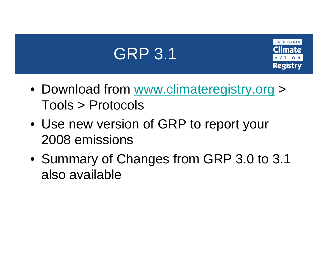# GRP 3.1

CALIFORNIA limate: Registry

- Download from www.climateregistry.org <sup>&</sup>gt; Tools > Protocols
- Use new version of GRP to report your 2008 emissions
- Summary of Changes from GRP 3.0 to 3.1 also available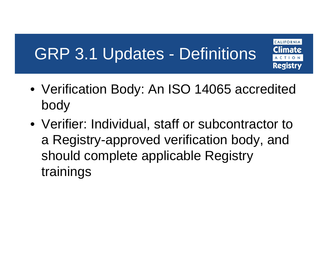## GRP 3.1 Updates - Definitions

CALIFORNIA Climate Registry

- Verification Body: An ISO 14065 accredited body
- Verifier: Individual, staff or subcontractor to a Registry-approved verification body, and should complete applicable Registry trainings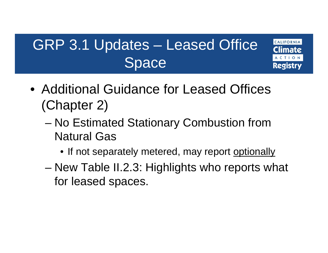#### GRP 3.1 Updates – Leased Office Space

- Additional Guidance for Leased Offices (Chapter 2)
	- – No Estimated Stationary Combustion from Natural Gas
		- If not separately metered, may report optionally

CALIFORNIA

Registrv

mate

 New Table II.2.3: Highlights who reports what for leased spaces.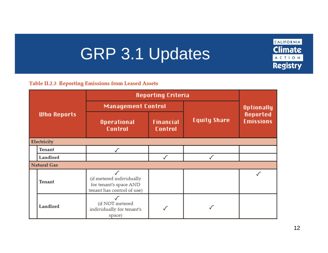## GRP 3.1 Updates

CALIFORNIA **Climate** ACTION **Registry** 

#### **Table II.2.3 Reporting Emissions from Leased Assets**

| <b>Who Reports</b> |                    | <b>Reporting Criteria</b>                                                        |                                    |                     |                                                          |  |  |  |
|--------------------|--------------------|----------------------------------------------------------------------------------|------------------------------------|---------------------|----------------------------------------------------------|--|--|--|
|                    |                    | <b>Management Control</b>                                                        |                                    |                     | <b>Optionally</b><br><b>Reported</b><br><b>Emissions</b> |  |  |  |
|                    |                    | <b>Operational</b><br><b>Control</b>                                             | <b>Financial</b><br><b>Control</b> | <b>Equity Share</b> |                                                          |  |  |  |
| Electricity        |                    |                                                                                  |                                    |                     |                                                          |  |  |  |
|                    | Tenant             |                                                                                  |                                    |                     |                                                          |  |  |  |
|                    | Landlord           |                                                                                  |                                    |                     |                                                          |  |  |  |
|                    | <b>Natural Gas</b> |                                                                                  |                                    |                     |                                                          |  |  |  |
|                    | Tenant             | (if metered individually<br>for tenant's space AND<br>tenant has control of use) |                                    |                     |                                                          |  |  |  |
|                    | Landlord           | (if NOT metered<br>individually for tenant's<br>space)                           |                                    |                     |                                                          |  |  |  |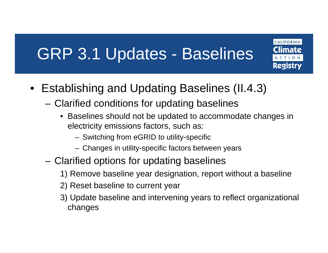## GRP 3.1 Updates - Baselines

- CALIFORNIA Climate Registry
- Establishing and Updating Baselines (II.4.3)
	- – Clarified conditions for updating baselines
		- Baselines should not be updated to accommodate changes in electricity emissions factors, such as:
			- Switching from eGRID to utility-specific
			- Changes in utility-specific factors between years
	- Clarified options for updating baselines
		- 1) Remove baseline year designation, report without a baseline
		- 2) Reset baseline to current year
		- 3) Update baseline and intervening years to reflect organizational changes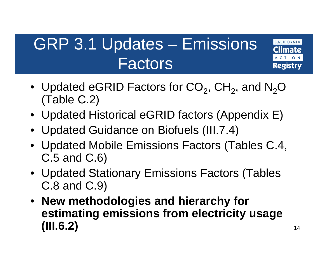## GRP 3.1 Updates – Emissions Factors

CALIFORNIA Climate Registry

- Updated eGRID Factors for  $\mathsf{CO}_{2}$ , CH<sub>2</sub>, and N<sub>2</sub>O (Table C.2)
- Updated Historical eGRID factors (Appendix E)
- Updated Guidance on Biofuels (III.7.4)
- Updated Mobile Emissions Factors (Tables C.4, C.5 and C.6)
- Updated Stationary Emissions Factors (Tables C.8 and C.9)
- **New methodologies and hierarchy for estimating emissions from electricity usage (III.6.2)**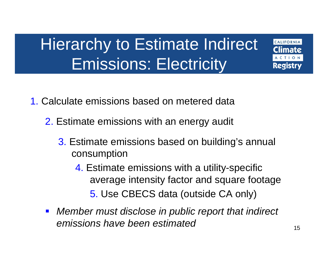## Hierarchy to Estimate Indirect Emissions: Electricity

1. Calculate emissions based on metered data

- 2. Estimate emissions with an energy audit
	- 3. Estimate emissions based on building's annual consumption
		- 4. Estimate emissions with a utility-specific average intensity factor and square footage 5. Use CBECS data (outside CA only)
- $\blacksquare$  *Member must disclose in public report that indirect emissions have been estimated*

CALIFORNIA :limate

Registry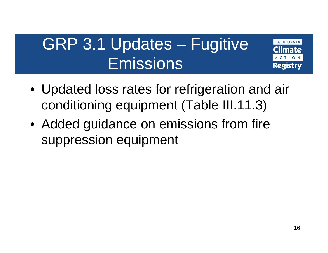## GRP 3.1 Updates – Fugitive Emissions

CALIFORNIA limate: Registry

- Updated loss rates for refrigeration and air conditioning equipment (Table III.11.3)
- Added guidance on emissions from fire suppression equipment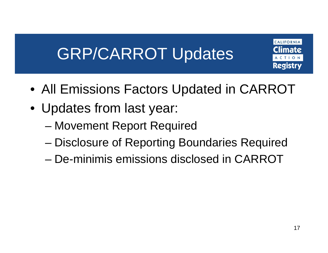## GRP/CARROT Updates

CALIFORNIA mate Registrv

- All Emissions Factors Updated in CARROT
- Updates from last year:
	- –Movement Report Required
	- –Disclosure of Reporting Boundaries Required
	- De-minimis emissions disclosed in CARROT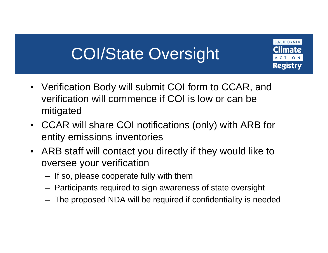## COI/State Oversight

```
CALIFORNIA
:limate
Registry
```
- Verification Body will submit COI form to CCAR, and verification will commence if COI is low or can be mitigated
- CCAR will share COI notifications (only) with ARB for entity emissions inventories
- ARB staff will contact you directly if they would like to oversee your verification
	- If so, please cooperate fully with them
	- Participants required to sign awareness of state oversight
	- The proposed NDA will be required if confidentiality is needed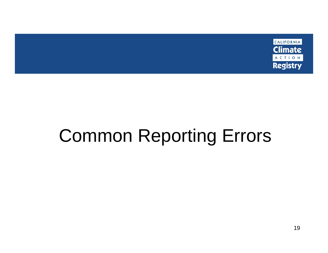

# Common Reporting Errors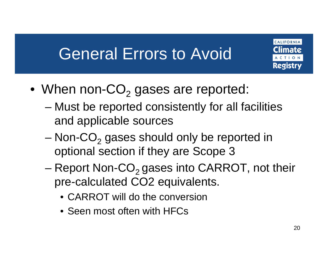## General Errors to Avoid

- $\bullet\,$  When non-CO $_2$  gases are reported:
	- Must be reported consistently for all facilities and applicable sources
	- Non-CO $_{\rm 2}$  gases should only be reported in optional section if they are Scope 3
	- –Report Non- $CO<sub>2</sub>$  gases into CARROT, not their pre-calculated CO2 equivalents.
		- CARROT will do the conversion
		- Seen most often with HFCs

CALIFORNIA

Registrv

mate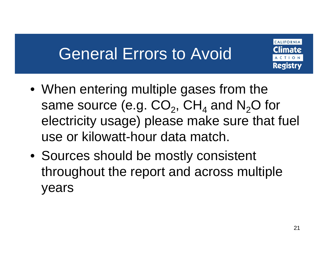## General Errors to Avoid

- When entering multiple gases from the same source (e.g.  $\mathsf{CO}_{2}$ ,  $\mathsf{CH}_{4}$  and  $\mathsf{N}_{2}\mathsf{O}$  for electricity usage) please make sure that fuel use or kilowatt-hour data match.
- Sources should be mostly consistent throughout the report and across multiple years

CALIFORNIA

Registrv

mate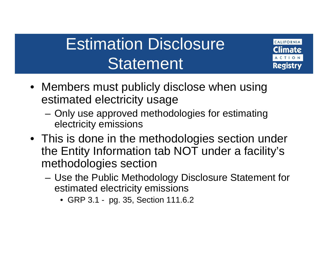## Estimation Disclosure Statement

CALIFORNIA limate Registry

- Members must publicly disclose when using estimated electricity usage
	- Only use approved methodologies for estimating electricity emissions
- This is done in the methodologies section under the Entity Information tab NOT under a facility's methodologies section
	- Use the Public Methodology Disclosure Statement for estimated electricity emissions
		- GRP 3.1 pg. 35, Section 111.6.2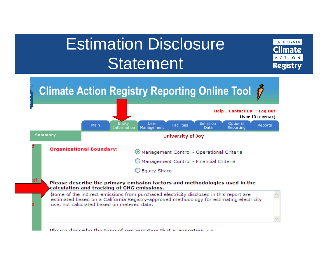## Estimation Disclosure Statement





Diange december the tune of overnisation that is venesting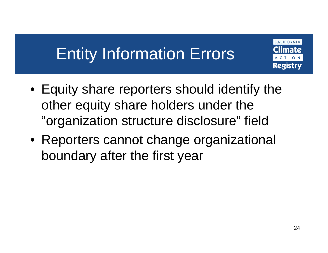## Entity Information Errors

CALIFORNIA mate

- Equity share reporters should identify the other equity share holders under the "organization structure disclosure" field
- Reporters cannot change organizational boundary after the first year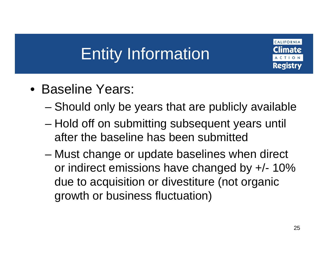# Entity Information

CALIFORNIA mate Registrv

- Baseline Years:
	- Should only be years that are publicly available
	- Hold off on submitting subsequent years until after the baseline has been submitted
	- – Must change or update baselines when direct or indirect emissions have changed by +/- 10% due to acquisition or divestiture (not organic growth or business fluctuation)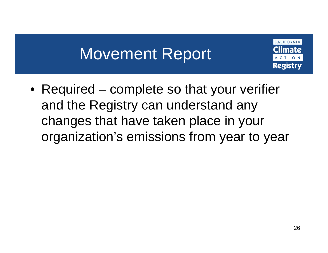## Movement Report

CALIFORNIA mate Registrv

• Required – complete so that your verifier and the Registry can understand any changes that have taken place in your organization's emissions from year to year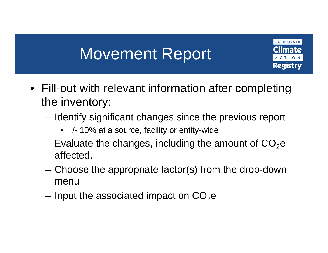## Movement Report

CALIFORNIA limate Registry

- Fill-out with relevant information after completing the inventory:
	- Identify significant changes since the previous report
		- +/- 10% at a source, facility or entity-wide
	- –Evaluate the changes, including the amount of  $CO<sub>2</sub>e$ affected.
	- Choose the appropriate factor(s) from the drop-down menu
	- Input the associated impact on  $CO<sub>2</sub>$ e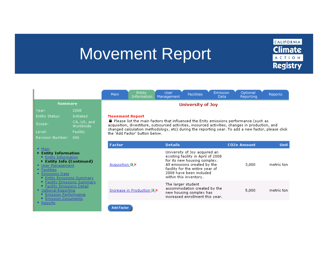## Movement Report

CALIFORNIA **Climate** ACTION Registry

|                                                                                                                                                                                                                                                                                                                                                                                         |                          | Entity<br>Main<br>Information                                                                                                                                                                             | User<br><b>Facilities</b><br>Management                                                                                                                                                                                      | Emission<br><b>Optional</b><br>Reporting<br>Data | Reports     |  |  |  |
|-----------------------------------------------------------------------------------------------------------------------------------------------------------------------------------------------------------------------------------------------------------------------------------------------------------------------------------------------------------------------------------------|--------------------------|-----------------------------------------------------------------------------------------------------------------------------------------------------------------------------------------------------------|------------------------------------------------------------------------------------------------------------------------------------------------------------------------------------------------------------------------------|--------------------------------------------------|-------------|--|--|--|
| <b>Summary</b>                                                                                                                                                                                                                                                                                                                                                                          |                          | <b>University of Joy</b>                                                                                                                                                                                  |                                                                                                                                                                                                                              |                                                  |             |  |  |  |
| Year:                                                                                                                                                                                                                                                                                                                                                                                   | 2008                     |                                                                                                                                                                                                           |                                                                                                                                                                                                                              |                                                  |             |  |  |  |
| <b>Entity Status:</b>                                                                                                                                                                                                                                                                                                                                                                   | Initiated                | <b>Movement Report</b>                                                                                                                                                                                    |                                                                                                                                                                                                                              |                                                  |             |  |  |  |
| Scope:                                                                                                                                                                                                                                                                                                                                                                                  | CA, US, and<br>Worldwide | $\blacksquare$ Please list the main factors that influenced the Enity emissions performance (such as<br>acquisition, divestiture, outsourced activities, insourced activities, changes in production, and |                                                                                                                                                                                                                              |                                                  |             |  |  |  |
| Level:                                                                                                                                                                                                                                                                                                                                                                                  | Facility                 | changed calculation methodology, etc) during the reporting year. To add a new factor, please click<br>the 'Add Factor' button below.                                                                      |                                                                                                                                                                                                                              |                                                  |             |  |  |  |
| <b>Revision Number:</b><br>006                                                                                                                                                                                                                                                                                                                                                          |                          |                                                                                                                                                                                                           |                                                                                                                                                                                                                              |                                                  |             |  |  |  |
|                                                                                                                                                                                                                                                                                                                                                                                         |                          | Factor                                                                                                                                                                                                    | <b>Details</b>                                                                                                                                                                                                               | <b>CO2e Amount</b>                               | <b>Unit</b> |  |  |  |
| $\bullet$ Main<br>$\blacktriangleright$ Entity Information<br><b>Entity Information</b><br>▶ Entity Info (Continued)<br>• User Management<br><b>Facilities</b><br><b>Emissions Data</b><br><b>Entity Emissions Summary</b><br><b>Facility Emissions Summary</b><br><b>Facility Emissions Detail</b><br>• Optional Reporting<br><b>Emission Performance</b><br><b>Emission Documents</b> |                          | Acquisition 国 <b>×</b>                                                                                                                                                                                    | University of Joy acquired an<br>existing facility in April of 2008<br>for its new housing complex.<br>All emissions created by the<br>facility for the entire year of<br>2008 have been included.<br>within this inventory. | 3,000                                            | metric ton. |  |  |  |
|                                                                                                                                                                                                                                                                                                                                                                                         |                          | Increase in Production 国义                                                                                                                                                                                 | The larger student<br>accommodation created by the<br>new housing complex has<br>increased enrollment this year.                                                                                                             | 5,000                                            | metric ton  |  |  |  |
| <b>Reports</b>                                                                                                                                                                                                                                                                                                                                                                          |                          | <b>Add Factor</b>                                                                                                                                                                                         |                                                                                                                                                                                                                              |                                                  |             |  |  |  |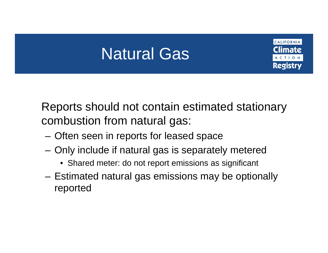## Natural Gas

CALIFORNIA limate Registry

Reports should not contain estimated stationary combustion from natural gas:

- –Often seen in reports for leased space
- – Only include if natural gas is separately metered
	- Shared meter: do not report emissions as significant
- Estimated natural gas emissions may be optionally reported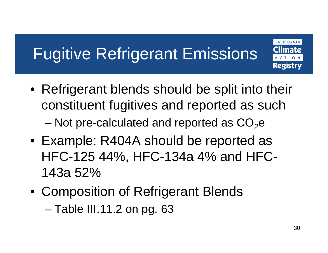# Fugitive Refrigerant Emissions

CALIFORNIA :limate Registrv

- Refrigerant blends should be split into their constituent fugitives and reported as such –Not pre-calculated and reported as  $\mathrm{CO}_2\mathrm{e}$
- Example: R404A should be reported as HFC-125 44%, HFC-134a 4% and HFC-143a 52%
- Composition of Refrigerant Blends Table III.11.2 on pg. 63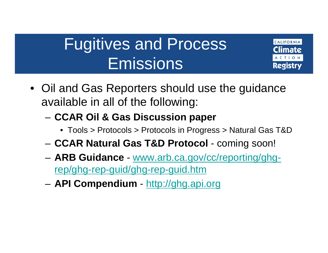## Fugitives and Process Emissions

CALIFORNIA imate Registry

- Oil and Gas Reporters should use the guidance available in all of the following:
	- **CCAR Oil & Gas Discussion paper**
		- Tools > Protocols > Protocols in Progress > Natural Gas T&D
	- –**CCAR Natural Gas T&D Protocol** - coming soon!
	- **ARB Guidance** www.arb.ca.gov/cc/reporting/ghgrep/ghg-rep-guid/ghg-rep-guid.htm
	- **API Compendium** - <u>http://ghg.api.org</u>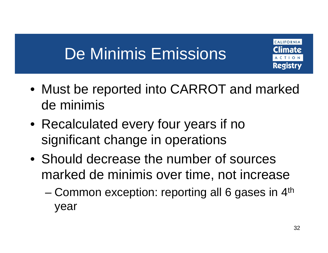## De Minimis Emissions

- Must be reported into CARROT and marked de minimis
- Recalculated every four years if no significant change in operations
- Should decrease the number of sources marked de minimis over time, not increase
	- –Common exception: reporting all 6 gases in 4<sup>th</sup> year

CALIFORNIA

Registrv

mate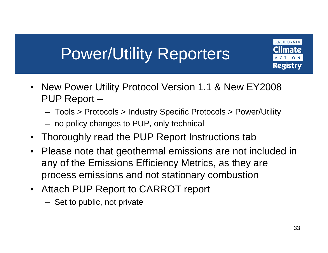## Power/Utility Reporters

CALIFORNIA :limate Registry

- New Power Utility Protocol Version 1.1 & New EY2008 PUP Report –
	- Tools > Protocols > Industry Specific Protocols > Power/Utility
	- no policy changes to PUP, only technical
- Thoroughly read the PUP Report Instructions tab
- Please note that geothermal emissions are not included in any of the Emissions Efficiency Metrics, as they are process emissions and not stationary combustion
- Attach PUP Report to CARROT report
	- Set to public, not private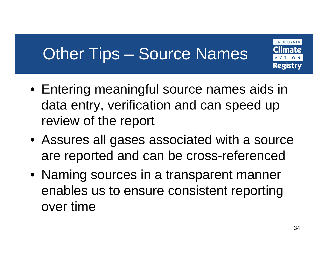## Other Tips – Source Names

CALIFORNIA mate Registry

- Entering meaningful source names aids in data entry, verification and can speed up review of the report
- Assures all gases associated with a source are reported and can be cross-referenced
- Naming sources in a transparent manner enables us to ensure consistent reporting over time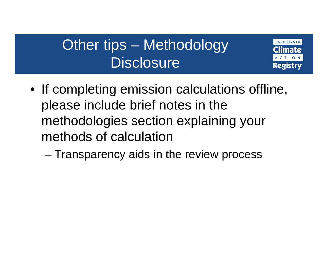#### Other tips – Methodology **Disclosure**

CALIFORNIA mate Registry

• If completing emission calculations offline, please include brief notes in the methodologies section explaining your methods of calculation

–Transparency aids in the review process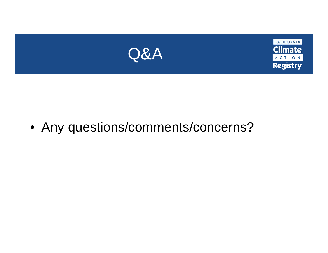

• Any questions/comments/concerns?